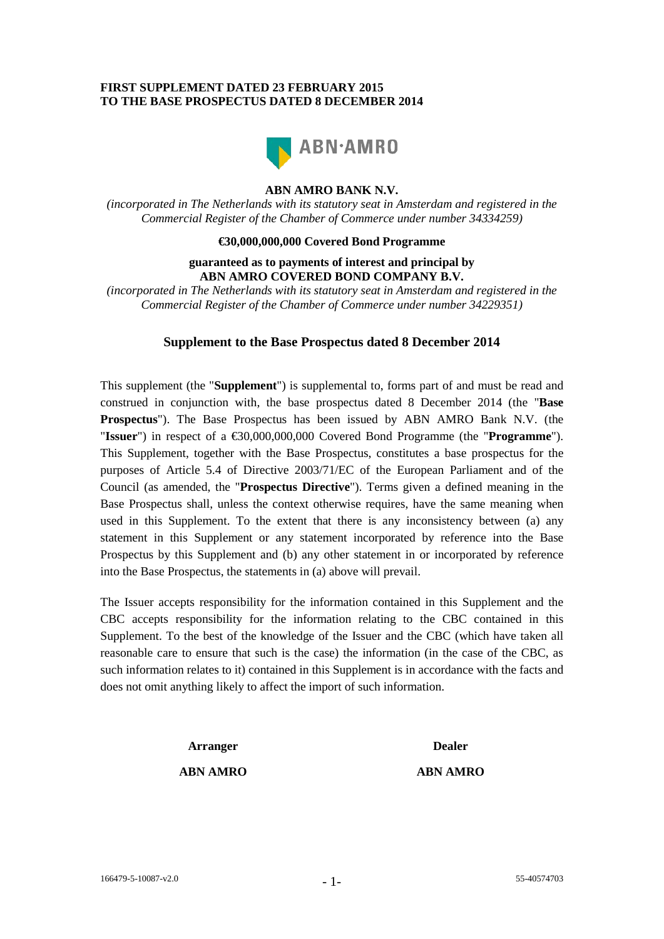# **FIRST SUPPLEMENT DATED 23 FEBRUARY 2015 TO THE BASE PROSPECTUS DATED 8 DECEMBER 2014**



# **ABN AMRO BANK N.V.**

*(incorporated in The Netherlands with its statutory seat in Amsterdam and registered in the Commercial Register of the Chamber of Commerce under number 34334259)*

#### **€30,000,000,000 Covered Bond Programme**

## **guaranteed as to payments of interest and principal by ABN AMRO COVERED BOND COMPANY B.V.**

*(incorporated in The Netherlands with its statutory seat in Amsterdam and registered in the Commercial Register of the Chamber of Commerce under number 34229351)*

## **Supplement to the Base Prospectus dated 8 December 2014**

This supplement (the "**Supplement**") is supplemental to, forms part of and must be read and construed in conjunction with, the base prospectus dated 8 December 2014 (the "**Base Prospectus**"). The Base Prospectus has been issued by ABN AMRO Bank N.V. (the "**Issuer**") in respect of a €30,000,000,000 Covered Bond Programme (the "**Programme**"). This Supplement, together with the Base Prospectus, constitutes a base prospectus for the purposes of Article 5.4 of Directive 2003/71/EC of the European Parliament and of the Council (as amended, the "**Prospectus Directive**"). Terms given a defined meaning in the Base Prospectus shall, unless the context otherwise requires, have the same meaning when used in this Supplement. To the extent that there is any inconsistency between (a) any statement in this Supplement or any statement incorporated by reference into the Base Prospectus by this Supplement and (b) any other statement in or incorporated by reference into the Base Prospectus, the statements in (a) above will prevail.

The Issuer accepts responsibility for the information contained in this Supplement and the CBC accepts responsibility for the information relating to the CBC contained in this Supplement. To the best of the knowledge of the Issuer and the CBC (which have taken all reasonable care to ensure that such is the case) the information (in the case of the CBC, as such information relates to it) contained in this Supplement is in accordance with the facts and does not omit anything likely to affect the import of such information.

**Arranger Dealer**

## **ABN AMRO ABN AMRO**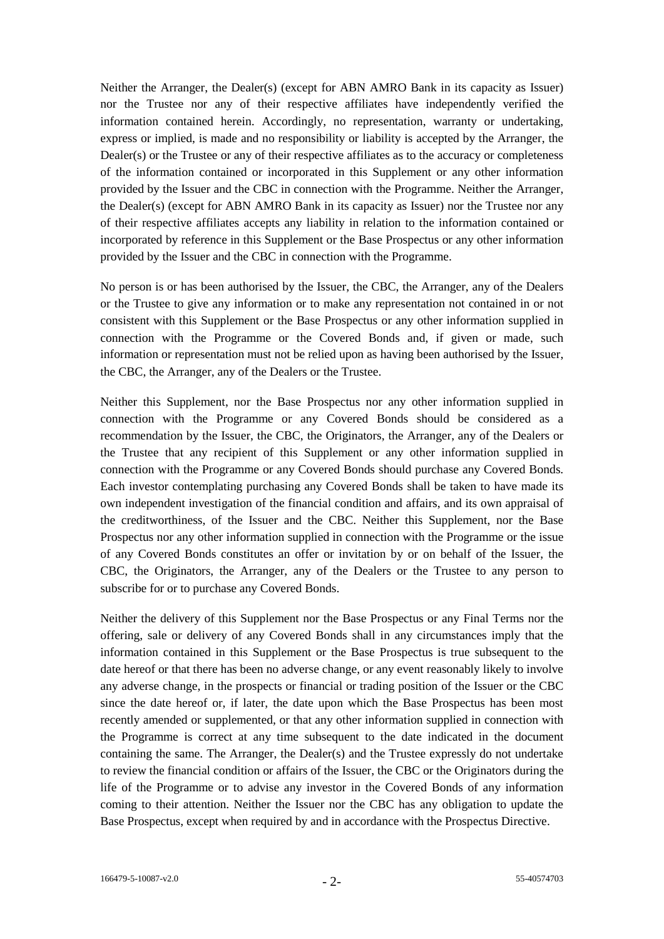Neither the Arranger, the Dealer(s) (except for ABN AMRO Bank in its capacity as Issuer) nor the Trustee nor any of their respective affiliates have independently verified the information contained herein. Accordingly, no representation, warranty or undertaking, express or implied, is made and no responsibility or liability is accepted by the Arranger, the Dealer(s) or the Trustee or any of their respective affiliates as to the accuracy or completeness of the information contained or incorporated in this Supplement or any other information provided by the Issuer and the CBC in connection with the Programme. Neither the Arranger, the Dealer(s) (except for ABN AMRO Bank in its capacity as Issuer) nor the Trustee nor any of their respective affiliates accepts any liability in relation to the information contained or incorporated by reference in this Supplement or the Base Prospectus or any other information provided by the Issuer and the CBC in connection with the Programme.

No person is or has been authorised by the Issuer, the CBC, the Arranger, any of the Dealers or the Trustee to give any information or to make any representation not contained in or not consistent with this Supplement or the Base Prospectus or any other information supplied in connection with the Programme or the Covered Bonds and, if given or made, such information or representation must not be relied upon as having been authorised by the Issuer, the CBC, the Arranger, any of the Dealers or the Trustee.

Neither this Supplement, nor the Base Prospectus nor any other information supplied in connection with the Programme or any Covered Bonds should be considered as a recommendation by the Issuer, the CBC, the Originators, the Arranger, any of the Dealers or the Trustee that any recipient of this Supplement or any other information supplied in connection with the Programme or any Covered Bonds should purchase any Covered Bonds. Each investor contemplating purchasing any Covered Bonds shall be taken to have made its own independent investigation of the financial condition and affairs, and its own appraisal of the creditworthiness, of the Issuer and the CBC. Neither this Supplement, nor the Base Prospectus nor any other information supplied in connection with the Programme or the issue of any Covered Bonds constitutes an offer or invitation by or on behalf of the Issuer, the CBC, the Originators, the Arranger, any of the Dealers or the Trustee to any person to subscribe for or to purchase any Covered Bonds.

Neither the delivery of this Supplement nor the Base Prospectus or any Final Terms nor the offering, sale or delivery of any Covered Bonds shall in any circumstances imply that the information contained in this Supplement or the Base Prospectus is true subsequent to the date hereof or that there has been no adverse change, or any event reasonably likely to involve any adverse change, in the prospects or financial or trading position of the Issuer or the CBC since the date hereof or, if later, the date upon which the Base Prospectus has been most recently amended or supplemented, or that any other information supplied in connection with the Programme is correct at any time subsequent to the date indicated in the document containing the same. The Arranger, the Dealer(s) and the Trustee expressly do not undertake to review the financial condition or affairs of the Issuer, the CBC or the Originators during the life of the Programme or to advise any investor in the Covered Bonds of any information coming to their attention. Neither the Issuer nor the CBC has any obligation to update the Base Prospectus, except when required by and in accordance with the Prospectus Directive.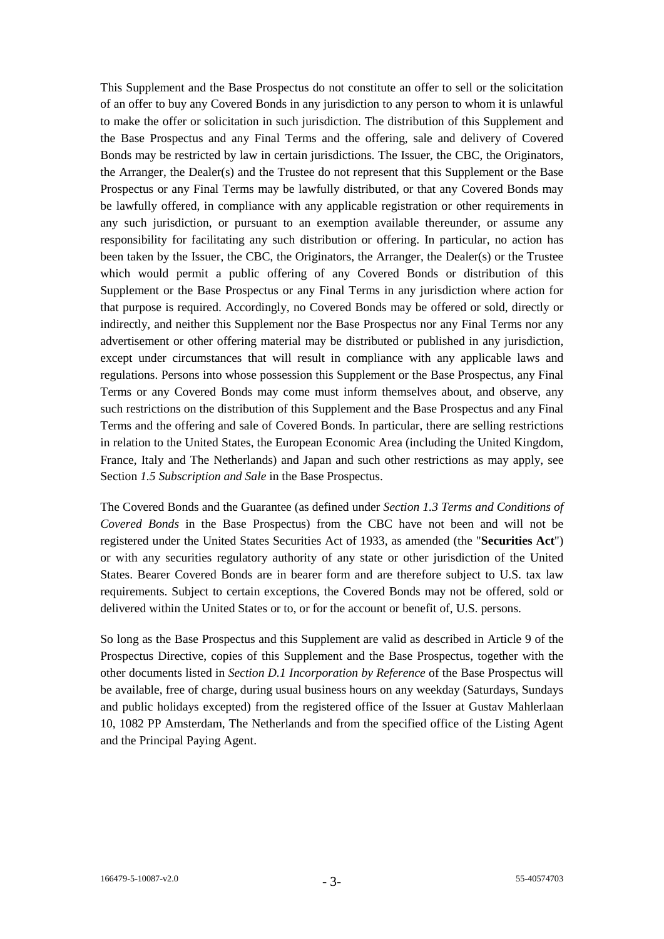This Supplement and the Base Prospectus do not constitute an offer to sell or the solicitation of an offer to buy any Covered Bonds in any jurisdiction to any person to whom it is unlawful to make the offer or solicitation in such jurisdiction. The distribution of this Supplement and the Base Prospectus and any Final Terms and the offering, sale and delivery of Covered Bonds may be restricted by law in certain jurisdictions. The Issuer, the CBC, the Originators, the Arranger, the Dealer(s) and the Trustee do not represent that this Supplement or the Base Prospectus or any Final Terms may be lawfully distributed, or that any Covered Bonds may be lawfully offered, in compliance with any applicable registration or other requirements in any such jurisdiction, or pursuant to an exemption available thereunder, or assume any responsibility for facilitating any such distribution or offering. In particular, no action has been taken by the Issuer, the CBC, the Originators, the Arranger, the Dealer(s) or the Trustee which would permit a public offering of any Covered Bonds or distribution of this Supplement or the Base Prospectus or any Final Terms in any jurisdiction where action for that purpose is required. Accordingly, no Covered Bonds may be offered or sold, directly or indirectly, and neither this Supplement nor the Base Prospectus nor any Final Terms nor any advertisement or other offering material may be distributed or published in any jurisdiction, except under circumstances that will result in compliance with any applicable laws and regulations. Persons into whose possession this Supplement or the Base Prospectus, any Final Terms or any Covered Bonds may come must inform themselves about, and observe, any such restrictions on the distribution of this Supplement and the Base Prospectus and any Final Terms and the offering and sale of Covered Bonds. In particular, there are selling restrictions in relation to the United States, the European Economic Area (including the United Kingdom, France, Italy and The Netherlands) and Japan and such other restrictions as may apply, see Section *1.5 Subscription and Sale* in the Base Prospectus.

The Covered Bonds and the Guarantee (as defined under *Section 1.3 Terms and Conditions of Covered Bonds* in the Base Prospectus) from the CBC have not been and will not be registered under the United States Securities Act of 1933, as amended (the "**Securities Act**") or with any securities regulatory authority of any state or other jurisdiction of the United States. Bearer Covered Bonds are in bearer form and are therefore subject to U.S. tax law requirements. Subject to certain exceptions, the Covered Bonds may not be offered, sold or delivered within the United States or to, or for the account or benefit of, U.S. persons.

So long as the Base Prospectus and this Supplement are valid as described in Article 9 of the Prospectus Directive, copies of this Supplement and the Base Prospectus, together with the other documents listed in *Section D.1 Incorporation by Reference* of the Base Prospectus will be available, free of charge, during usual business hours on any weekday (Saturdays, Sundays and public holidays excepted) from the registered office of the Issuer at Gustav Mahlerlaan 10, 1082 PP Amsterdam, The Netherlands and from the specified office of the Listing Agent and the Principal Paying Agent.